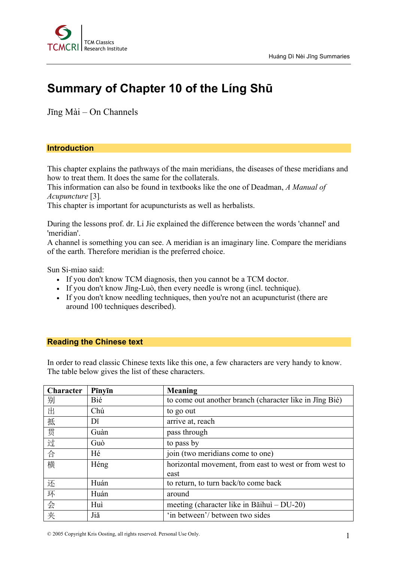

## **Summary of Chapter 10 of the Líng Shū**

Jīng Mài – On Channels

## **Introduction**

This chapter explains the pathways of the main meridians, the diseases of these meridians and how to treat them. It does the same for the collaterals.

This information can also be found in textbooks like the one of Deadman, *A Manual of Acupuncture* [3]*.*

This chapter is important for acupuncturists as well as herbalists.

During the lessons prof. dr. Li Jie explained the difference between the words 'channel' and 'meridian'.

A channel is something you can see. A meridian is an imaginary line. Compare the meridians of the earth. Therefore meridian is the preferred choice.

Sun Si-miao said:

- If you don't know TCM diagnosis, then you cannot be a TCM doctor.
- If you don't know Jīng-Luò, then every needle is wrong (incl. technique).
- If you don't know needling techniques, then you're not an acupuncturist (there are around 100 techniques described).

## **Reading the Chinese text**

In order to read classic Chinese texts like this one, a few characters are very handy to know. The table below gives the list of these characters.

| Character | Pīnyīn | Meaning                                                 |
|-----------|--------|---------------------------------------------------------|
| 别         | Bié    | to come out another branch (character like in Jing Bié) |
| 出         | Chú    | to go out                                               |
| 抵         | Dĭ     | arrive at, reach                                        |
| 贯         | Guàn   | pass through                                            |
| 过         | Guò    | to pass by                                              |
| 合         | Hé     | join (two meridians come to one)                        |
| 横         | Héng   | horizontal movement, from east to west or from west to  |
|           |        | east                                                    |
| 还         | Huán   | to return, to turn back/to come back                    |
| 环         | Huán   | around                                                  |
| 会         | Huì    | meeting (character like in Băihuì $-$ DU-20)            |
| 夹         | Jiă    | 'in between'/ between two sides                         |

© 2005 Copyright Kris Oosting, all rights reserved. Personal Use Only. 1